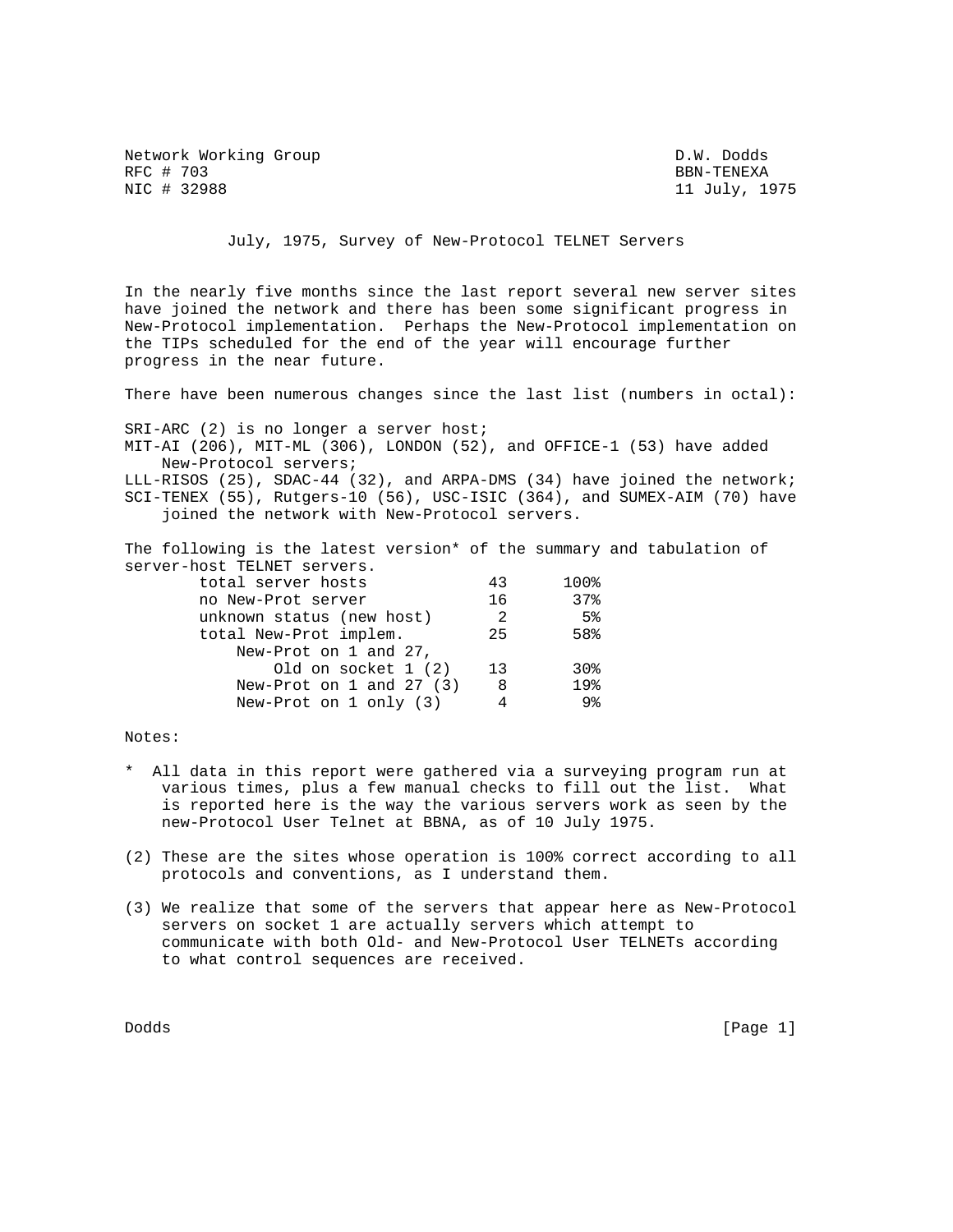Network Working Group D.W. Dodds RFC # 703 BBN-TENEXA BEN-TENEXA BEN-TENEXA BEN-TENEXA BEN-TENEXA

11 July, 1975

July, 1975, Survey of New-Protocol TELNET Servers

In the nearly five months since the last report several new server sites have joined the network and there has been some significant progress in New-Protocol implementation. Perhaps the New-Protocol implementation on the TIPs scheduled for the end of the year will encourage further progress in the near future.

There have been numerous changes since the last list (numbers in octal):

SRI-ARC (2) is no longer a server host; MIT-AI (206), MIT-ML (306), LONDON (52), and OFFICE-1 (53) have added New-Protocol servers; LLL-RISOS (25), SDAC-44 (32), and ARPA-DMS (34) have joined the network; SCI-TENEX (55), Rutgers-10 (56), USC-ISIC (364), and SUMEX-AIM (70) have joined the network with New-Protocol servers.

The following is the latest version\* of the summary and tabulation of server-host TELNET servers.

| total server hosts           | 43  | 100%            |
|------------------------------|-----|-----------------|
| no New-Prot server           | 16  | 37%             |
| unknown status (new host)    | - 2 | 5 <sup>8</sup>  |
| total New-Prot implem.       | 25  | 58%             |
| New-Prot on 1 and 27,        |     |                 |
| Old on socket 1 (2)          | 13  | 30 <sub>8</sub> |
| New-Prot on $1$ and $27$ (3) | -8  | 19%             |
| New-Prot on $1$ only $(3)$   |     | 9 <sub>8</sub>  |
|                              |     |                 |

Notes:

- \* All data in this report were gathered via a surveying program run at various times, plus a few manual checks to fill out the list. What is reported here is the way the various servers work as seen by the new-Protocol User Telnet at BBNA, as of 10 July 1975.
- (2) These are the sites whose operation is 100% correct according to all protocols and conventions, as I understand them.
- (3) We realize that some of the servers that appear here as New-Protocol servers on socket 1 are actually servers which attempt to communicate with both Old- and New-Protocol User TELNETs according to what control sequences are received.

Dodds [Page 1]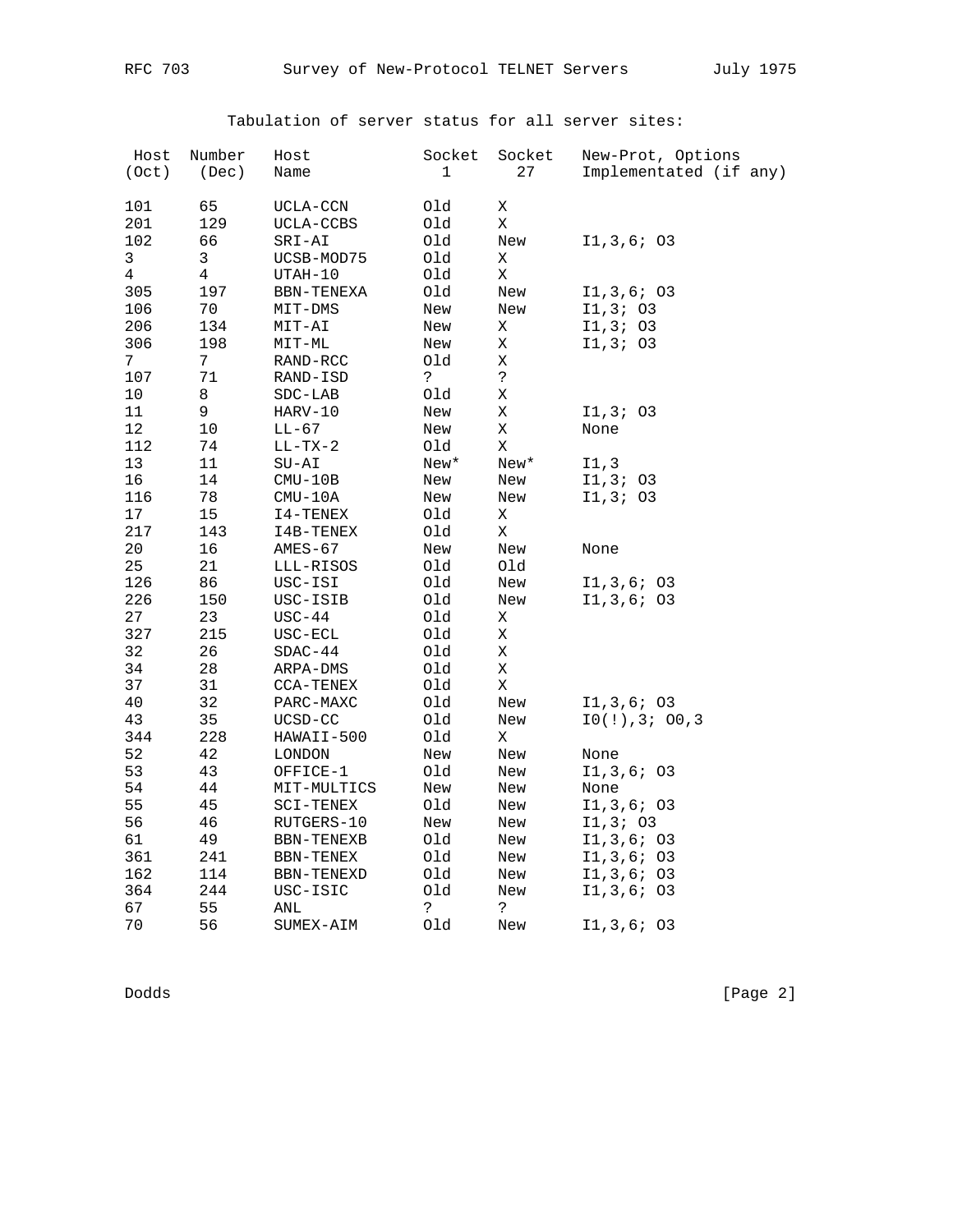| Host<br>(Oct) | Number<br>(Dec) | Host<br>Name | Socket<br>1     | Socket<br>27 | New-Prot, Options<br>Implementated (if any) |
|---------------|-----------------|--------------|-----------------|--------------|---------------------------------------------|
|               |                 |              |                 |              |                                             |
| 101           | 65              | UCLA-CCN     | Old             | Χ            |                                             |
| 201           | 129             | UCLA-CCBS    | Old             | Χ            |                                             |
| 102           | 66              | SRI-AI       | Old             | New          | I1,3,6; 03                                  |
| $\mathbf{3}$  | $\mathbf{3}$    | UCSB-MOD75   | Old             | Χ            |                                             |
| 4             | 4<br>197        | UTAH-10      | Old             | Χ            |                                             |
| 305           |                 | BBN-TENEXA   | Old             | New          | I1,3,6; 03                                  |
| 106           | 70              | MIT-DMS      | New             | New          | I1, 3; 03                                   |
| 206           | 134             | MIT-AI       | New             | Χ            | I1, 3; 03                                   |
| 306           | 198             | MIT-ML       | New             | Χ            | 11, 3; 03                                   |
| 7             | 7               | RAND-RCC     | Old             | X            |                                             |
| 107           | 71              | RAND-ISD     | S.              | خ.           |                                             |
| $10$          | 8               | $SDC-LAB$    | Old             | Χ            |                                             |
| 11            | 9               | HARV-10      | New             | Χ            | 11, 3; 03                                   |
| 12            | 10              | LL-67        | New             | Χ            | None                                        |
| 112           | 74              | $LL-TX-2$    | Old             | X            |                                             |
| $13$          | 11              | $SU-AI$      | $\texttt{New*}$ | New*         | I1,3                                        |
| 16            | 14              | $CMU-10B$    | New             | New          | I1,3; 03                                    |
| 116           | 78              | $CMU-10A$    | New             | New          | I1,3; 03                                    |
| $17\,$        | 15              | I4-TENEX     | Old             | Χ            |                                             |
| 217           | 143             | I4B-TENEX    | Old             | Χ            |                                             |
| 20            | 16              | AMES-67      | New             | New          | None                                        |
| 25            | 21              | LLL-RISOS    | Old             | Old          |                                             |
| 126           | 86              | USC-ISI      | Old             | New          | I1, 3, 6; 03                                |
| 226           | 150             | USC-ISIB     | Old             | New          | I1,3,6; 03                                  |
| 27            | 23              | $USC-44$     | Old             | Χ            |                                             |
| 327           | 215             | USC-ECL      | Old             | Χ            |                                             |
| 32            | 26              | $SDAC-44$    | Old             | $\mathbf X$  |                                             |
| 34            | 28              | ARPA-DMS     | Old             | X            |                                             |
| 37            | 31              | CCA-TENEX    | Old             | $\mathbf X$  |                                             |
| 40            | 32              | PARC-MAXC    | Old             | New          | I1, 3, 6; 03                                |
| 43            | 35              | UCSD-CC      | Old             | New          | 10(!), 3; 00, 3                             |
| 344           | 228             | HAWAII-500   | Old             | Χ            |                                             |
| 52            | 42              | LONDON       | New             | New          | None                                        |
| 53            | 43              | OFFICE-1     | Old             | New          | I1,3,6; 03                                  |
| 54            | 44              | MIT-MULTICS  | New             | New          | None                                        |
| 55            | 45              | SCI-TENEX    | Old             | New          | I1,3,6; 03                                  |
| 56            | 46              | RUTGERS-10   | New             | New          | I1, 3; 03                                   |
| 61            | 49              | BBN-TENEXB   | Old             | New          | I1,3,6; 03                                  |
| 361           | 241             | BBN-TENEX    | Old             | New          | I1,3,6; 03                                  |
| 162           | 114             | BBN-TENEXD   | Old             | New          | I1,3,6; 03                                  |
| 364           | 244             | USC-ISIC     | Old             | New          | I1,3,6; 03                                  |
| 67            | 55              | ANL          | خ.              | S.           |                                             |
| 70            | 56              | SUMEX-AIM    | Old             | New          | I1,3,6; 03                                  |

Tabulation of server status for all server sites:

Dodds [Page 2]